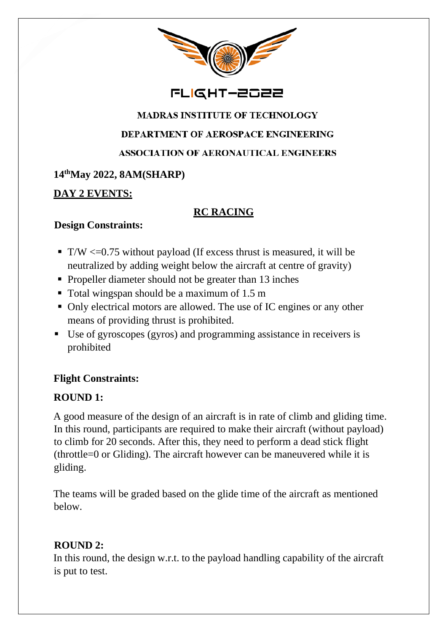

## FLIGHT-2022

# **MADRAS INSTITUTE OF TECHNOLOGY DEPARTMENT OF AEROSPACE ENGINEERING**

**ASSOCIATION OF AERONAUTICAL ENGINEERS** 

### **14thMay 2022, 8AM(SHARP)**

### **DAY 2 EVENTS:**

### **RC RACING**

#### **Design Constraints:**

- $\blacksquare$  T/W <= 0.75 without payload (If excess thrust is measured, it will be neutralized by adding weight below the aircraft at centre of gravity)
- Propeller diameter should not be greater than 13 inches
- Total wingspan should be a maximum of 1.5 m
- Only electrical motors are allowed. The use of IC engines or any other means of providing thrust is prohibited.
- Use of gyroscopes (gyros) and programming assistance in receivers is prohibited

### **Flight Constraints:**

### **ROUND 1:**

A good measure of the design of an aircraft is in rate of climb and gliding time. In this round, participants are required to make their aircraft (without payload) to climb for 20 seconds. After this, they need to perform a dead stick flight (throttle=0 or Gliding). The aircraft however can be maneuvered while it is gliding.

The teams will be graded based on the glide time of the aircraft as mentioned below.

### **ROUND 2:**

In this round, the design w.r.t. to the payload handling capability of the aircraft is put to test.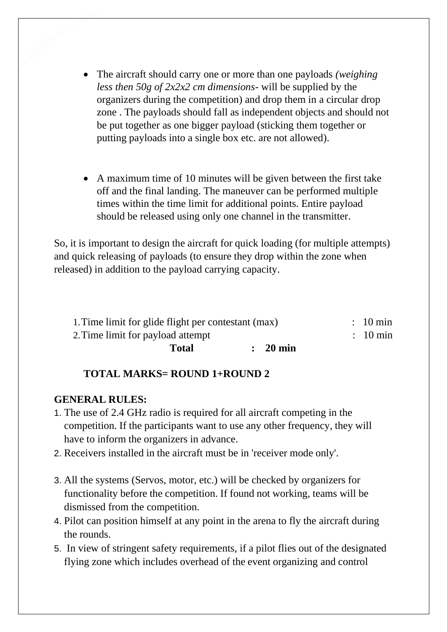- The aircraft should carry one or more than one payloads *(weighing less then 50g of 2x2x2 cm dimensions-* will be supplied by the organizers during the competition) and drop them in a circular drop zone . The payloads should fall as independent objects and should not be put together as one bigger payload (sticking them together or putting payloads into a single box etc. are not allowed).
- A maximum time of 10 minutes will be given between the first take off and the final landing. The maneuver can be performed multiple times within the time limit for additional points. Entire payload should be released using only one channel in the transmitter.

So, it is important to design the aircraft for quick loading (for multiple attempts) and quick releasing of payloads (to ensure they drop within the zone when released) in addition to the payload carrying capacity.

| 1. Time limit for glide flight per contestant (max) |                     | $: 10 \text{ min}$  |
|-----------------------------------------------------|---------------------|---------------------|
| 2. Time limit for payload attempt                   |                     | $\therefore$ 10 min |
| <b>Total</b>                                        | $\therefore$ 20 min |                     |

#### **TOTAL MARKS= ROUND 1+ROUND 2**

#### **GENERAL RULES:**

- 1. The use of 2.4 GHz radio is required for all aircraft competing in the competition. If the participants want to use any other frequency, they will have to inform the organizers in advance.
- 2. Receivers installed in the aircraft must be in 'receiver mode only'.
- 3. All the systems (Servos, motor, etc.) will be checked by organizers for functionality before the competition. If found not working, teams will be dismissed from the competition.
- 4. Pilot can position himself at any point in the arena to fly the aircraft during the rounds.
- 5. In view of stringent safety requirements, if a pilot flies out of the designated flying zone which includes overhead of the event organizing and control